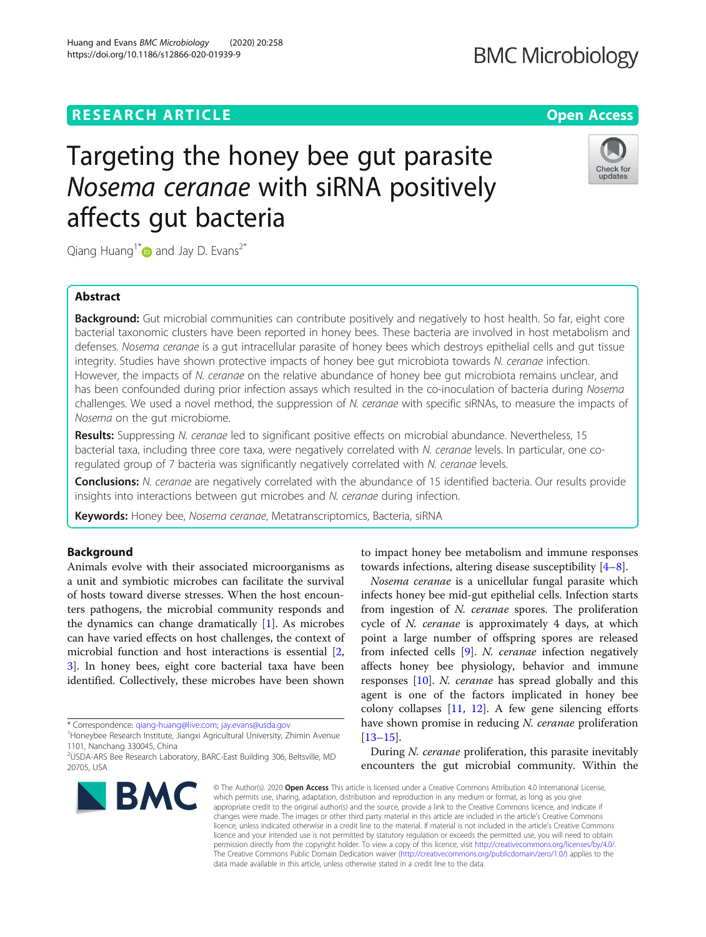## **RESEARCH ARTICLE Example 2014 CONSIDERING A RESEARCH ARTICLE**

# Targeting the honey bee gut parasite Nosema ceranae with siRNA positively affects gut bacteria

Qiang Huang<sup>1\*</sup> $\bullet$  and Jay D. Evans<sup>2\*</sup>

## Abstract

Background: Gut microbial communities can contribute positively and negatively to host health. So far, eight core bacterial taxonomic clusters have been reported in honey bees. These bacteria are involved in host metabolism and defenses. Nosema ceranae is a qut intracellular parasite of honey bees which destroys epithelial cells and qut tissue integrity. Studies have shown protective impacts of honey bee gut microbiota towards N. ceranae infection. However, the impacts of N. ceranae on the relative abundance of honey bee gut microbiota remains unclear, and has been confounded during prior infection assays which resulted in the co-inoculation of bacteria during Nosema challenges. We used a novel method, the suppression of N. ceranae with specific siRNAs, to measure the impacts of Nosema on the gut microbiome.

Results: Suppressing N. ceranae led to significant positive effects on microbial abundance. Nevertheless, 15 bacterial taxa, including three core taxa, were negatively correlated with N. ceranae levels. In particular, one coregulated group of 7 bacteria was significantly negatively correlated with N. ceranae levels.

Conclusions: N. ceranae are negatively correlated with the abundance of 15 identified bacteria. Our results provide insights into interactions between gut microbes and N. ceranae during infection.

Keywords: Honey bee, Nosema ceranae, Metatranscriptomics, Bacteria, siRNA

## Background

Animals evolve with their associated microorganisms as a unit and symbiotic microbes can facilitate the survival of hosts toward diverse stresses. When the host encounters pathogens, the microbial community responds and the dynamics can change dramatically [\[1](#page-4-0)]. As microbes can have varied effects on host challenges, the context of microbial function and host interactions is essential [\[2](#page-4-0), [3\]](#page-4-0). In honey bees, eight core bacterial taxa have been identified. Collectively, these microbes have been shown

2 USDA-ARS Bee Research Laboratory, BARC-East Building 306, Beltsville, MD

to impact honey bee metabolism and immune responses towards infections, altering disease susceptibility [\[4](#page-4-0)–[8\]](#page-4-0).

Nosema ceranae is a unicellular fungal parasite which infects honey bee mid-gut epithelial cells. Infection starts from ingestion of N. ceranae spores. The proliferation cycle of N. ceranae is approximately 4 days, at which point a large number of offspring spores are released from infected cells [\[9\]](#page-4-0). N. ceranae infection negatively affects honey bee physiology, behavior and immune responses [[10](#page-4-0)]. N. ceranae has spread globally and this agent is one of the factors implicated in honey bee colony collapses [[11,](#page-4-0) [12](#page-4-0)]. A few gene silencing efforts have shown promise in reducing N. ceranae proliferation [[13](#page-4-0)–[15](#page-4-0)].

During N. ceranae proliferation, this parasite inevitably encounters the gut microbial community. Within the

© The Author(s), 2020 **Open Access** This article is licensed under a Creative Commons Attribution 4.0 International License, which permits use, sharing, adaptation, distribution and reproduction in any medium or format, as long as you give appropriate credit to the original author(s) and the source, provide a link to the Creative Commons licence, and indicate if changes were made. The images or other third party material in this article are included in the article's Creative Commons licence, unless indicated otherwise in a credit line to the material. If material is not included in the article's Creative Commons licence and your intended use is not permitted by statutory regulation or exceeds the permitted use, you will need to obtain permission directly from the copyright holder. To view a copy of this licence, visit [http://creativecommons.org/licenses/by/4.0/.](http://creativecommons.org/licenses/by/4.0/) The Creative Commons Public Domain Dedication waiver [\(http://creativecommons.org/publicdomain/zero/1.0/](http://creativecommons.org/publicdomain/zero/1.0/)) applies to the data made available in this article, unless otherwise stated in a credit line to the data.







<sup>\*</sup> Correspondence: [qiang-huang@live.com](mailto:qiang-huang@live.com); [jay.evans@usda.gov](mailto:jay.evans@usda.gov) <sup>1</sup>

<sup>&</sup>lt;sup>1</sup>Honeybee Research Institute, Jiangxi Agricultural University, Zhimin Avenue 1101, Nanchang 330045, China

<sup>20705,</sup> USA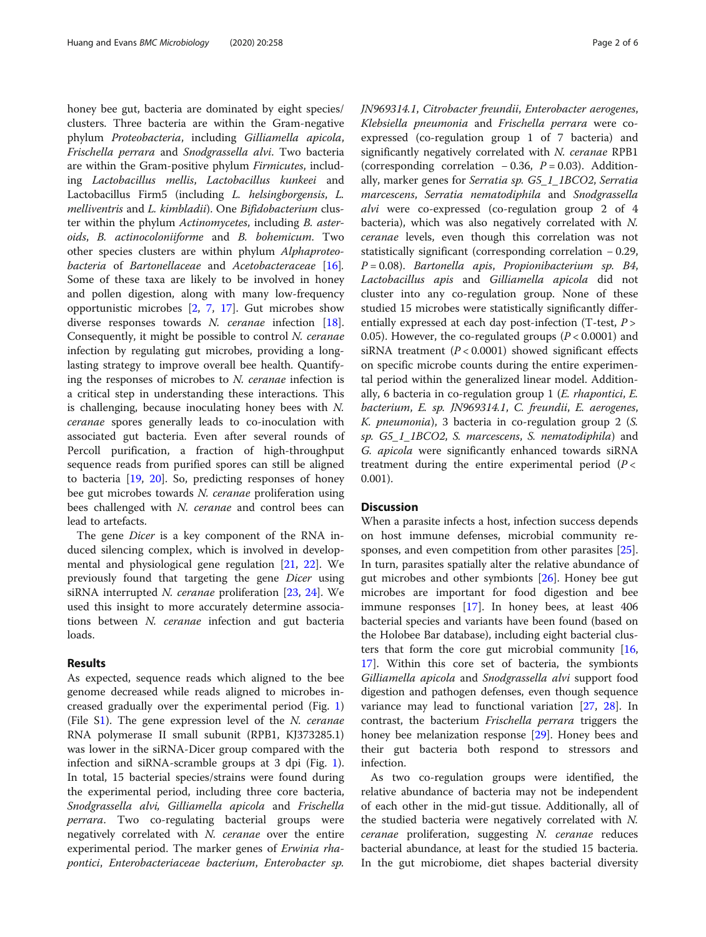honey bee gut, bacteria are dominated by eight species/ clusters. Three bacteria are within the Gram-negative phylum Proteobacteria, including Gilliamella apicola, Frischella perrara and Snodgrassella alvi. Two bacteria are within the Gram-positive phylum Firmicutes, including Lactobacillus mellis, Lactobacillus kunkeei and Lactobacillus Firm5 (including L. helsingborgensis, L. melliventris and L. kimbladii). One Bifidobacterium cluster within the phylum Actinomycetes, including B. asteroids, B. actinocoloniiforme and B. bohemicum. Two other species clusters are within phylum Alphaproteo-bacteria of Bartonellaceae and Acetobacteraceae [\[16](#page-4-0)]. Some of these taxa are likely to be involved in honey and pollen digestion, along with many low-frequency opportunistic microbes [[2,](#page-4-0) [7,](#page-4-0) [17\]](#page-4-0). Gut microbes show diverse responses towards N. ceranae infection [\[18](#page-4-0)]. Consequently, it might be possible to control N. ceranae infection by regulating gut microbes, providing a longlasting strategy to improve overall bee health. Quantifying the responses of microbes to N. ceranae infection is a critical step in understanding these interactions. This is challenging, because inoculating honey bees with N. ceranae spores generally leads to co-inoculation with associated gut bacteria. Even after several rounds of Percoll purification, a fraction of high-throughput sequence reads from purified spores can still be aligned to bacteria [[19](#page-4-0), [20](#page-5-0)]. So, predicting responses of honey bee gut microbes towards N. ceranae proliferation using bees challenged with N. ceranae and control bees can lead to artefacts.

The gene *Dicer* is a key component of the RNA induced silencing complex, which is involved in developmental and physiological gene regulation [[21](#page-5-0), [22](#page-5-0)]. We previously found that targeting the gene Dicer using siRNA interrupted N. ceranae proliferation [\[23,](#page-5-0) [24](#page-5-0)]. We used this insight to more accurately determine associations between N. ceranae infection and gut bacteria loads.

## Results

As expected, sequence reads which aligned to the bee genome decreased while reads aligned to microbes increased gradually over the experimental period (Fig. [1](#page-2-0)) (File [S1](#page-4-0)). The gene expression level of the N. ceranae RNA polymerase II small subunit (RPB1, KJ373285.1) was lower in the siRNA-Dicer group compared with the infection and siRNA-scramble groups at 3 dpi (Fig. [1](#page-2-0)). In total, 15 bacterial species/strains were found during the experimental period, including three core bacteria, Snodgrassella alvi, Gilliamella apicola and Frischella perrara. Two co-regulating bacterial groups were negatively correlated with N. ceranae over the entire experimental period. The marker genes of *Erwinia rha*pontici, Enterobacteriaceae bacterium, Enterobacter sp.

JN969314.1, Citrobacter freundii, Enterobacter aerogenes, Klebsiella pneumonia and Frischella perrara were coexpressed (co-regulation group 1 of 7 bacteria) and significantly negatively correlated with N. ceranae RPB1 (corresponding correlation  $-0.36$ ,  $P = 0.03$ ). Additionally, marker genes for Serratia sp. G5\_1\_1BCO2, Serratia marcescens, Serratia nematodiphila and Snodgrassella alvi were co-expressed (co-regulation group 2 of 4 bacteria), which was also negatively correlated with N. ceranae levels, even though this correlation was not statistically significant (corresponding correlation − 0.29,  $P = 0.08$ ). Bartonella apis, Propionibacterium sp. B4, Lactobacillus apis and Gilliamella apicola did not cluster into any co-regulation group. None of these studied 15 microbes were statistically significantly differentially expressed at each day post-infection (T-test, P > 0.05). However, the co-regulated groups  $(P < 0.0001)$  and siRNA treatment  $(P < 0.0001)$  showed significant effects on specific microbe counts during the entire experimental period within the generalized linear model. Additionally, 6 bacteria in co-regulation group 1 (E. rhapontici, E. bacterium, E. sp. JN969314.1, C. freundii, E. aerogenes, K. pneumonia), 3 bacteria in co-regulation group 2 (S. sp. G5\_1\_1BCO2, S. marcescens, S. nematodiphila) and G. apicola were significantly enhanced towards siRNA treatment during the entire experimental period  $(P <$ 0.001).

## **Discussion**

When a parasite infects a host, infection success depends on host immune defenses, microbial community responses, and even competition from other parasites [\[25](#page-5-0)]. In turn, parasites spatially alter the relative abundance of gut microbes and other symbionts [\[26\]](#page-5-0). Honey bee gut microbes are important for food digestion and bee immune responses [[17](#page-4-0)]. In honey bees, at least 406 bacterial species and variants have been found (based on the Holobee Bar database), including eight bacterial clusters that form the core gut microbial community [[16](#page-4-0), [17\]](#page-4-0). Within this core set of bacteria, the symbionts Gilliamella apicola and Snodgrassella alvi support food digestion and pathogen defenses, even though sequence variance may lead to functional variation [\[27](#page-5-0), [28](#page-5-0)]. In contrast, the bacterium Frischella perrara triggers the honey bee melanization response [\[29](#page-5-0)]. Honey bees and their gut bacteria both respond to stressors and infection.

As two co-regulation groups were identified, the relative abundance of bacteria may not be independent of each other in the mid-gut tissue. Additionally, all of the studied bacteria were negatively correlated with N. ceranae proliferation, suggesting N. ceranae reduces bacterial abundance, at least for the studied 15 bacteria. In the gut microbiome, diet shapes bacterial diversity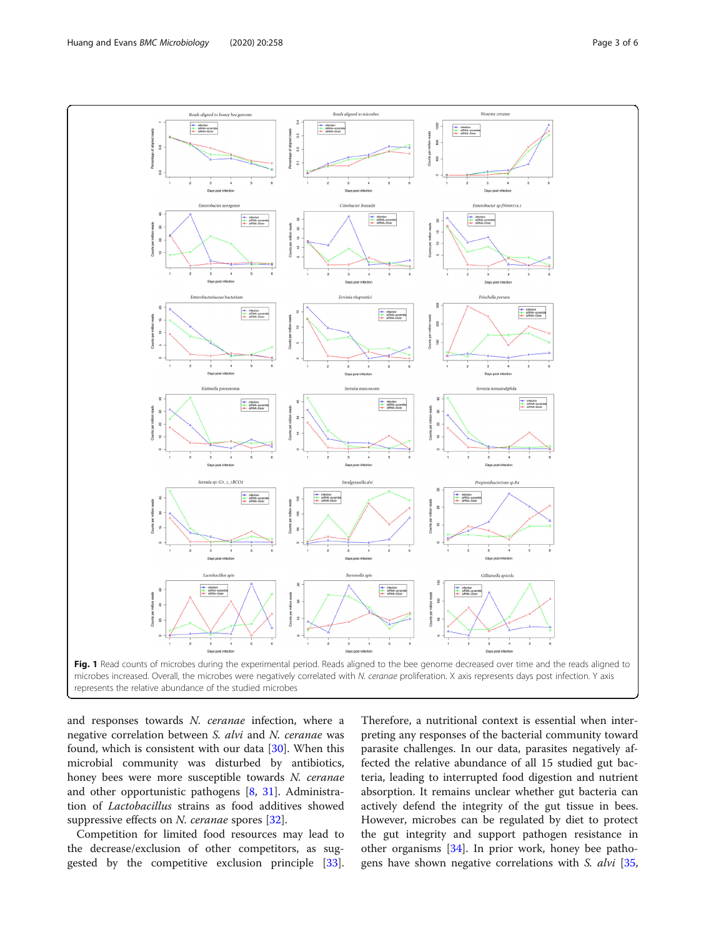<span id="page-2-0"></span>

and responses towards N. ceranae infection, where a negative correlation between S. alvi and N. ceranae was found, which is consistent with our data [\[30](#page-5-0)]. When this microbial community was disturbed by antibiotics, honey bees were more susceptible towards N. ceranae and other opportunistic pathogens [\[8](#page-4-0), [31](#page-5-0)]. Administration of Lactobacillus strains as food additives showed suppressive effects on N. ceranae spores [\[32](#page-5-0)].

Competition for limited food resources may lead to the decrease/exclusion of other competitors, as suggested by the competitive exclusion principle [\[33](#page-5-0)].

Therefore, a nutritional context is essential when interpreting any responses of the bacterial community toward parasite challenges. In our data, parasites negatively affected the relative abundance of all 15 studied gut bacteria, leading to interrupted food digestion and nutrient absorption. It remains unclear whether gut bacteria can actively defend the integrity of the gut tissue in bees. However, microbes can be regulated by diet to protect the gut integrity and support pathogen resistance in other organisms [[34\]](#page-5-0). In prior work, honey bee patho-gens have shown negative correlations with S. alvi [[35](#page-5-0),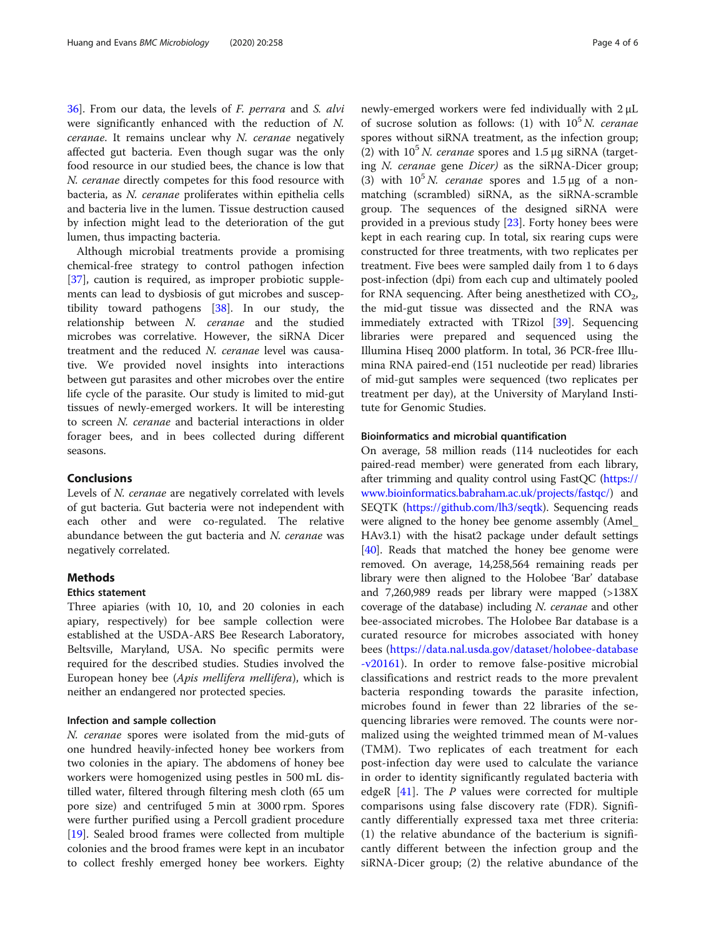[36\]](#page-5-0). From our data, the levels of F. perrara and S. alvi were significantly enhanced with the reduction of N. ceranae. It remains unclear why N. ceranae negatively affected gut bacteria. Even though sugar was the only food resource in our studied bees, the chance is low that N. ceranae directly competes for this food resource with bacteria, as N. ceranae proliferates within epithelia cells and bacteria live in the lumen. Tissue destruction caused by infection might lead to the deterioration of the gut lumen, thus impacting bacteria.

Although microbial treatments provide a promising chemical-free strategy to control pathogen infection [[37\]](#page-5-0), caution is required, as improper probiotic supplements can lead to dysbiosis of gut microbes and susceptibility toward pathogens [[38](#page-5-0)]. In our study, the relationship between N. ceranae and the studied microbes was correlative. However, the siRNA Dicer treatment and the reduced N. ceranae level was causative. We provided novel insights into interactions between gut parasites and other microbes over the entire life cycle of the parasite. Our study is limited to mid-gut tissues of newly-emerged workers. It will be interesting to screen N. ceranae and bacterial interactions in older forager bees, and in bees collected during different seasons.

## Conclusions

Levels of N. ceranae are negatively correlated with levels of gut bacteria. Gut bacteria were not independent with each other and were co-regulated. The relative abundance between the gut bacteria and  $N$ . ceranae was negatively correlated.

## **Methods**

### Ethics statement

Three apiaries (with 10, 10, and 20 colonies in each apiary, respectively) for bee sample collection were established at the USDA-ARS Bee Research Laboratory, Beltsville, Maryland, USA. No specific permits were required for the described studies. Studies involved the European honey bee (Apis mellifera mellifera), which is neither an endangered nor protected species.

#### Infection and sample collection

N. ceranae spores were isolated from the mid-guts of one hundred heavily-infected honey bee workers from two colonies in the apiary. The abdomens of honey bee workers were homogenized using pestles in 500 mL distilled water, filtered through filtering mesh cloth (65 um pore size) and centrifuged 5 min at 3000 rpm. Spores were further purified using a Percoll gradient procedure [[19\]](#page-4-0). Sealed brood frames were collected from multiple colonies and the brood frames were kept in an incubator to collect freshly emerged honey bee workers. Eighty newly-emerged workers were fed individually with 2 μL of sucrose solution as follows: (1) with  $10<sup>5</sup> N$ . ceranae spores without siRNA treatment, as the infection group; (2) with  $10^5$  N. ceranae spores and 1.5 μg siRNA (targeting N. ceranae gene Dicer) as the siRNA-Dicer group; (3) with  $10^5 N$ . *ceranae* spores and 1.5 μg of a nonmatching (scrambled) siRNA, as the siRNA-scramble group. The sequences of the designed siRNA were provided in a previous study [[23\]](#page-5-0). Forty honey bees were kept in each rearing cup. In total, six rearing cups were constructed for three treatments, with two replicates per treatment. Five bees were sampled daily from 1 to 6 days post-infection (dpi) from each cup and ultimately pooled for RNA sequencing. After being anesthetized with  $CO<sub>2</sub>$ , the mid-gut tissue was dissected and the RNA was immediately extracted with TRizol [\[39](#page-5-0)]. Sequencing libraries were prepared and sequenced using the Illumina Hiseq 2000 platform. In total, 36 PCR-free Illumina RNA paired-end (151 nucleotide per read) libraries of mid-gut samples were sequenced (two replicates per treatment per day), at the University of Maryland Institute for Genomic Studies.

## Bioinformatics and microbial quantification

On average, 58 million reads (114 nucleotides for each paired-read member) were generated from each library, after trimming and quality control using FastQC [\(https://](https://www.bioinformatics.babraham.ac.uk/projects/fastqc/) [www.bioinformatics.babraham.ac.uk/projects/fastqc/\)](https://www.bioinformatics.babraham.ac.uk/projects/fastqc/) and SEQTK [\(https://github.com/lh3/seqtk\)](https://github.com/lh3/seqtk). Sequencing reads were aligned to the honey bee genome assembly (Amel\_ HAv3.1) with the hisat2 package under default settings [[40](#page-5-0)]. Reads that matched the honey bee genome were removed. On average, 14,258,564 remaining reads per library were then aligned to the Holobee 'Bar' database and 7,260,989 reads per library were mapped (>138X coverage of the database) including N. ceranae and other bee-associated microbes. The Holobee Bar database is a curated resource for microbes associated with honey bees ([https://data.nal.usda.gov/dataset/holobee-database](https://data.nal.usda.gov/dataset/holobee-database-v20161) [-v20161](https://data.nal.usda.gov/dataset/holobee-database-v20161)). In order to remove false-positive microbial classifications and restrict reads to the more prevalent bacteria responding towards the parasite infection, microbes found in fewer than 22 libraries of the sequencing libraries were removed. The counts were normalized using the weighted trimmed mean of M-values (TMM). Two replicates of each treatment for each post-infection day were used to calculate the variance in order to identity significantly regulated bacteria with edgeR  $[41]$  $[41]$ . The P values were corrected for multiple comparisons using false discovery rate (FDR). Significantly differentially expressed taxa met three criteria: (1) the relative abundance of the bacterium is significantly different between the infection group and the siRNA-Dicer group; (2) the relative abundance of the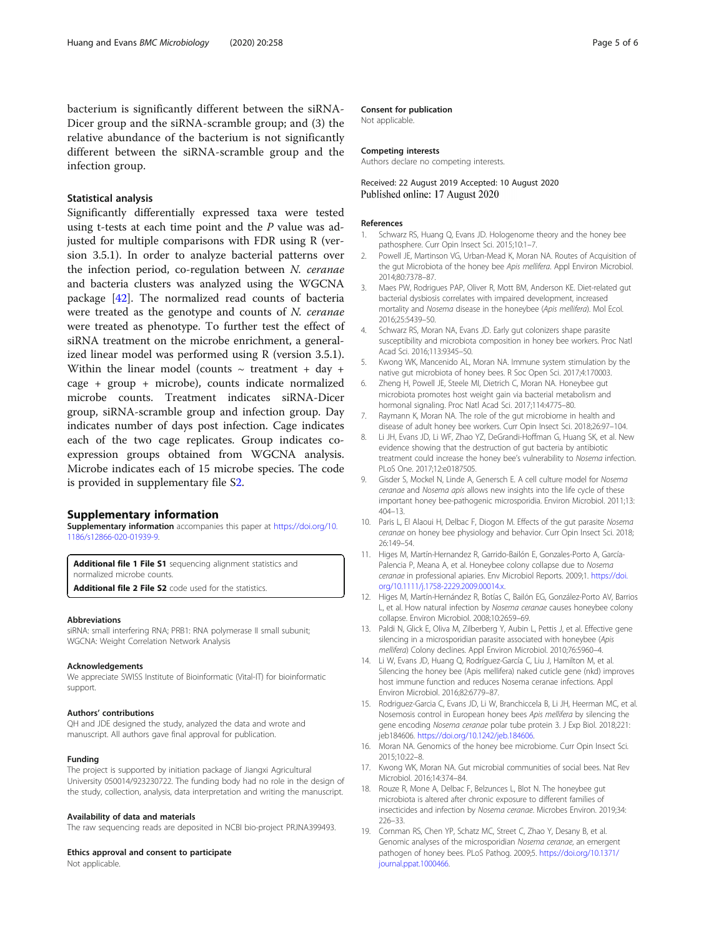<span id="page-4-0"></span>bacterium is significantly different between the siRNA-Dicer group and the siRNA-scramble group; and (3) the relative abundance of the bacterium is not significantly different between the siRNA-scramble group and the infection group.

## Statistical analysis

Significantly differentially expressed taxa were tested using t-tests at each time point and the P value was adjusted for multiple comparisons with FDR using R (version 3.5.1). In order to analyze bacterial patterns over the infection period, co-regulation between N. ceranae and bacteria clusters was analyzed using the WGCNA package [\[42](#page-5-0)]. The normalized read counts of bacteria were treated as the genotype and counts of  $N$ . *ceranae* were treated as phenotype. To further test the effect of siRNA treatment on the microbe enrichment, a generalized linear model was performed using R (version 3.5.1). Within the linear model (counts  $\sim$  treatment + day + cage + group + microbe), counts indicate normalized microbe counts. Treatment indicates siRNA-Dicer group, siRNA-scramble group and infection group. Day indicates number of days post infection. Cage indicates each of the two cage replicates. Group indicates coexpression groups obtained from WGCNA analysis. Microbe indicates each of 15 microbe species. The code is provided in supplementary file S2.

## Supplementary information

Supplementary information accompanies this paper at [https://doi.org/10.](https://doi.org/10.1186/s12866-020-01939-9) [1186/s12866-020-01939-9](https://doi.org/10.1186/s12866-020-01939-9).

Additional file 1 File S1 sequencing alignment statistics and normalized microbe counts.

Additional file 2 File S2 code used for the statistics.

#### Abbreviations

siRNA: small interfering RNA; PRB1: RNA polymerase II small subunit; WGCNA: Weight Correlation Network Analysis

#### Acknowledgements

We appreciate SWISS Institute of Bioinformatic (Vital-IT) for bioinformatic support.

#### Authors' contributions

QH and JDE designed the study, analyzed the data and wrote and manuscript. All authors gave final approval for publication.

#### Funding

The project is supported by initiation package of Jiangxi Agricultural University 050014/923230722. The funding body had no role in the design of the study, collection, analysis, data interpretation and writing the manuscript.

#### Availability of data and materials

The raw sequencing reads are deposited in NCBI bio-project PRJNA399493.

#### Ethics approval and consent to participate

Not applicable.

#### Consent for publication

Not applicable.

#### Competing interests

Authors declare no competing interests.

## Received: 22 August 2019 Accepted: 10 August 2020 Published online: 17 August 2020

#### References

- 1. Schwarz RS, Huang Q, Evans JD. Hologenome theory and the honey bee pathosphere. Curr Opin Insect Sci. 2015;10:1–7.
- 2. Powell JE, Martinson VG, Urban-Mead K, Moran NA. Routes of Acquisition of the gut Microbiota of the honey bee Apis mellifera. Appl Environ Microbiol. 2014;80:7378–87.
- 3. Maes PW, Rodrigues PAP, Oliver R, Mott BM, Anderson KE. Diet-related gut bacterial dysbiosis correlates with impaired development, increased mortality and Nosema disease in the honeybee (Apis mellifera). Mol Ecol. 2016;25:5439–50.
- 4. Schwarz RS, Moran NA, Evans JD. Early gut colonizers shape parasite susceptibility and microbiota composition in honey bee workers. Proc Natl Acad Sci. 2016;113:9345–50.
- 5. Kwong WK, Mancenido AL, Moran NA. Immune system stimulation by the native gut microbiota of honey bees. R Soc Open Sci. 2017;4:170003.
- 6. Zheng H, Powell JE, Steele MI, Dietrich C, Moran NA. Honeybee gut microbiota promotes host weight gain via bacterial metabolism and hormonal signaling. Proc Natl Acad Sci. 2017;114:4775–80.
- 7. Raymann K, Moran NA. The role of the gut microbiome in health and disease of adult honey bee workers. Curr Opin Insect Sci. 2018;26:97–104.
- 8. Li JH, Evans JD, Li WF, Zhao YZ, DeGrandi-Hoffman G, Huang SK, et al. New evidence showing that the destruction of gut bacteria by antibiotic treatment could increase the honey bee's vulnerability to Nosema infection. PLoS One. 2017;12:e0187505.
- 9. Gisder S, Mockel N, Linde A, Genersch E. A cell culture model for Nosema ceranae and Nosema apis allows new insights into the life cycle of these important honey bee-pathogenic microsporidia. Environ Microbiol. 2011;13: 404–13.
- 10. Paris L, El Alaoui H, Delbac F, Diogon M. Effects of the gut parasite Nosema ceranae on honey bee physiology and behavior. Curr Opin Insect Sci. 2018; 26:149–54.
- 11. Higes M, Martín-Hernandez R, Garrido-Bailón E, Gonzales-Porto A, García-Palencia P, Meana A, et al. Honeybee colony collapse due to Nosema ceranae in professional apiaries. Env Microbiol Reports. 2009;1. [https://doi.](https://doi.org/10.1111/j.1758-2229.2009.00014.x) [org/10.1111/j.1758-2229.2009.00014.x](https://doi.org/10.1111/j.1758-2229.2009.00014.x).
- 12. Higes M, Martín-Hernández R, Botías C, Bailón EG, González-Porto AV, Barrios L, et al. How natural infection by Nosema ceranae causes honeybee colony collapse. Environ Microbiol. 2008;10:2659–69.
- 13. Paldi N, Glick E, Oliva M, Zilberberg Y, Aubin L, Pettis J, et al. Effective gene silencing in a microsporidian parasite associated with honeybee (Apis mellifera) Colony declines. Appl Environ Microbiol. 2010;76:5960–4.
- 14. Li W, Evans JD, Huang Q, Rodríguez-García C, Liu J, Hamilton M, et al. Silencing the honey bee (Apis mellifera) naked cuticle gene (nkd) improves host immune function and reduces Nosema ceranae infections. Appl Environ Microbiol. 2016;82:6779–87.
- 15. Rodriguez-Garcia C, Evans JD, Li W, Branchiccela B, Li JH, Heerman MC, et al. Nosemosis control in European honey bees Apis mellifera by silencing the gene encoding Nosema ceranae polar tube protein 3. J Exp Biol. 2018;221: jeb184606. [https://doi.org/10.1242/jeb.184606.](https://doi.org/10.1242/jeb.184606)
- 16. Moran NA. Genomics of the honey bee microbiome. Curr Opin Insect Sci. 2015;10:22–8.
- 17. Kwong WK, Moran NA. Gut microbial communities of social bees. Nat Rev Microbiol. 2016;14:374–84.
- 18. Rouze R, Mone A, Delbac F, Belzunces L, Blot N. The honeybee gut microbiota is altered after chronic exposure to different families of insecticides and infection by Nosema ceranae. Microbes Environ. 2019;34: 226–33.
- 19. Cornman RS, Chen YP, Schatz MC, Street C, Zhao Y, Desany B, et al. Genomic analyses of the microsporidian Nosema ceranae, an emergent pathogen of honey bees. PLoS Pathog. 2009;5. [https://doi.org/10.1371/](https://doi.org/10.1371/journal.ppat.1000466) [journal.ppat.1000466.](https://doi.org/10.1371/journal.ppat.1000466)